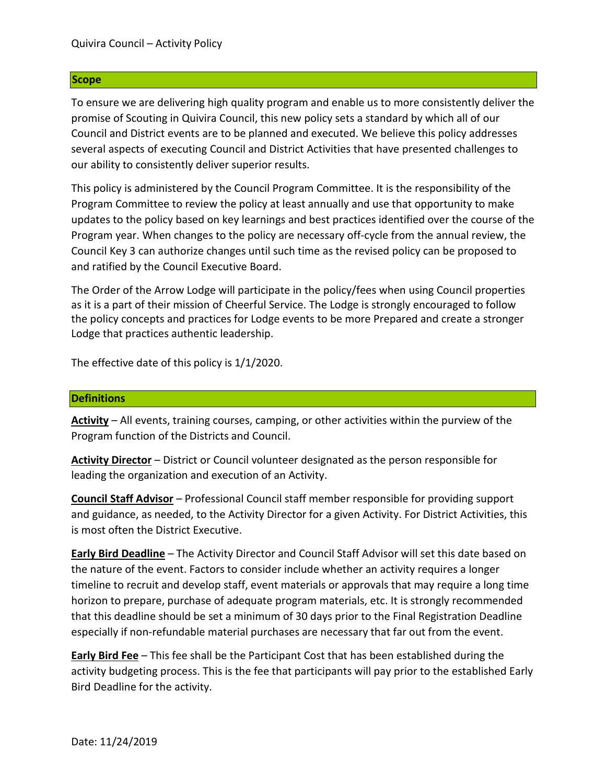### **Scope**

To ensure we are delivering high quality program and enable us to more consistently deliver the promise of Scouting in Quivira Council, this new policy sets a standard by which all of our Council and District events are to be planned and executed. We believe this policy addresses several aspects of executing Council and District Activities that have presented challenges to our ability to consistently deliver superior results.

This policy is administered by the Council Program Committee. It is the responsibility of the Program Committee to review the policy at least annually and use that opportunity to make updates to the policy based on key learnings and best practices identified over the course of the Program year. When changes to the policy are necessary off-cycle from the annual review, the Council Key 3 can authorize changes until such time as the revised policy can be proposed to and ratified by the Council Executive Board.

The Order of the Arrow Lodge will participate in the policy/fees when using Council properties as it is a part of their mission of Cheerful Service. The Lodge is strongly encouraged to follow the policy concepts and practices for Lodge events to be more Prepared and create a stronger Lodge that practices authentic leadership.

The effective date of this policy is 1/1/2020.

#### **Definitions**

**Activity** – All events, training courses, camping, or other activities within the purview of the Program function of the Districts and Council.

**Activity Director** – District or Council volunteer designated as the person responsible for leading the organization and execution of an Activity.

**Council Staff Advisor** – Professional Council staff member responsible for providing support and guidance, as needed, to the Activity Director for a given Activity. For District Activities, this is most often the District Executive.

**Early Bird Deadline** – The Activity Director and Council Staff Advisor will set this date based on the nature of the event. Factors to consider include whether an activity requires a longer timeline to recruit and develop staff, event materials or approvals that may require a long time horizon to prepare, purchase of adequate program materials, etc. It is strongly recommended that this deadline should be set a minimum of 30 days prior to the Final Registration Deadline especially if non-refundable material purchases are necessary that far out from the event.

**Early Bird Fee** – This fee shall be the Participant Cost that has been established during the activity budgeting process. This is the fee that participants will pay prior to the established Early Bird Deadline for the activity.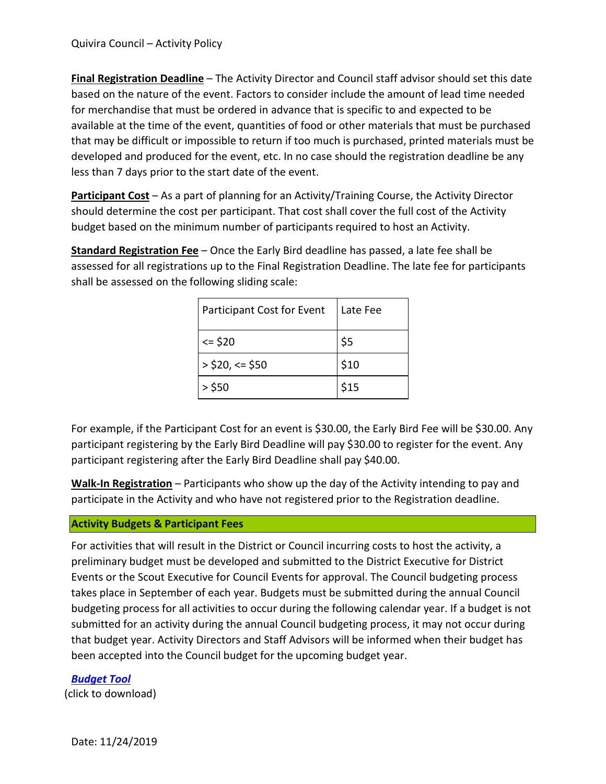**Final Registration Deadline** – The Activity Director and Council staff advisor should set this date based on the nature of the event. Factors to consider include the amount of lead time needed for merchandise that must be ordered in advance that is specific to and expected to be available at the time of the event, quantities of food or other materials that must be purchased that may be difficult or impossible to return if too much is purchased, printed materials must be developed and produced for the event, etc. In no case should the registration deadline be any less than 7 days prior to the start date of the event.

**Participant Cost** – As a part of planning for an Activity/Training Course, the Activity Director should determine the cost per participant. That cost shall cover the full cost of the Activity budget based on the minimum number of participants required to host an Activity.

**Standard Registration Fee** – Once the Early Bird deadline has passed, a late fee shall be assessed for all registrations up to the Final Registration Deadline. The late fee for participants shall be assessed on the following sliding scale:

| Participant Cost for Event | Late Fee |
|----------------------------|----------|
| $= $20$                    | \$5      |
| $>$ \$20, <= \$50          | \$10     |
| $>$ \$50                   | \$15     |

For example, if the Participant Cost for an event is \$30.00, the Early Bird Fee will be \$30.00. Any participant registering by the Early Bird Deadline will pay \$30.00 to register for the event. Any participant registering after the Early Bird Deadline shall pay \$40.00.

**Walk-In Registration** – Participants who show up the day of the Activity intending to pay and participate in the Activity and who have not registered prior to the Registration deadline.

# **Activity Budgets & Participant Fees**

For activities that will result in the District or Council incurring costs to host the activity, a preliminary budget must be developed and submitted to the District Executive for District Events or the Scout Executive for Council Events for approval. The Council budgeting process takes place in September of each year. Budgets must be submitted during the annual Council budgeting process for all activities to occur during the following calendar year. If a budget is not submitted for an activity during the annual Council budgeting process, it may not occur during that budget year. Activity Directors and Staff Advisors will be informed when their budget has been accepted into the Council budget for the upcoming budget year.

*[Budget](https://quivira.org/wp-content/uploads/sites/25/2022/04/2.-2022-Budget-Worksheet-Template.xlsx) Tool* (click to download)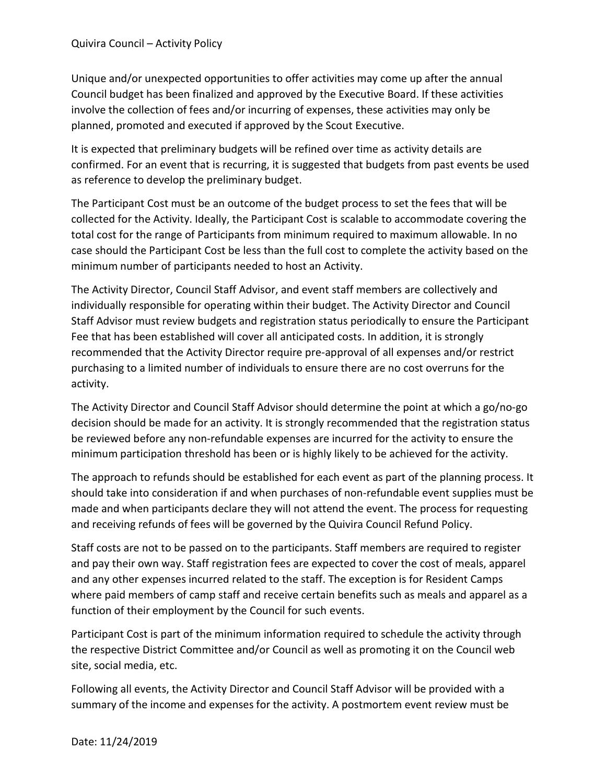Unique and/or unexpected opportunities to offer activities may come up after the annual Council budget has been finalized and approved by the Executive Board. If these activities involve the collection of fees and/or incurring of expenses, these activities may only be planned, promoted and executed if approved by the Scout Executive.

It is expected that preliminary budgets will be refined over time as activity details are confirmed. For an event that is recurring, it is suggested that budgets from past events be used as reference to develop the preliminary budget.

The Participant Cost must be an outcome of the budget process to set the fees that will be collected for the Activity. Ideally, the Participant Cost is scalable to accommodate covering the total cost for the range of Participants from minimum required to maximum allowable. In no case should the Participant Cost be less than the full cost to complete the activity based on the minimum number of participants needed to host an Activity.

The Activity Director, Council Staff Advisor, and event staff members are collectively and individually responsible for operating within their budget. The Activity Director and Council Staff Advisor must review budgets and registration status periodically to ensure the Participant Fee that has been established will cover all anticipated costs. In addition, it is strongly recommended that the Activity Director require pre-approval of all expenses and/or restrict purchasing to a limited number of individuals to ensure there are no cost overruns for the activity.

The Activity Director and Council Staff Advisor should determine the point at which a go/no-go decision should be made for an activity. It is strongly recommended that the registration status be reviewed before any non-refundable expenses are incurred for the activity to ensure the minimum participation threshold has been or is highly likely to be achieved for the activity.

The approach to refunds should be established for each event as part of the planning process. It should take into consideration if and when purchases of non-refundable event supplies must be made and when participants declare they will not attend the event. The process for requesting and receiving refunds of fees will be governed by the Quivira Council Refund Policy.

Staff costs are not to be passed on to the participants. Staff members are required to register and pay their own way. Staff registration fees are expected to cover the cost of meals, apparel and any other expenses incurred related to the staff. The exception is for Resident Camps where paid members of camp staff and receive certain benefits such as meals and apparel as a function of their employment by the Council for such events.

Participant Cost is part of the minimum information required to schedule the activity through the respective District Committee and/or Council as well as promoting it on the Council web site, social media, etc.

Following all events, the Activity Director and Council Staff Advisor will be provided with a summary of the income and expenses for the activity. A postmortem event review must be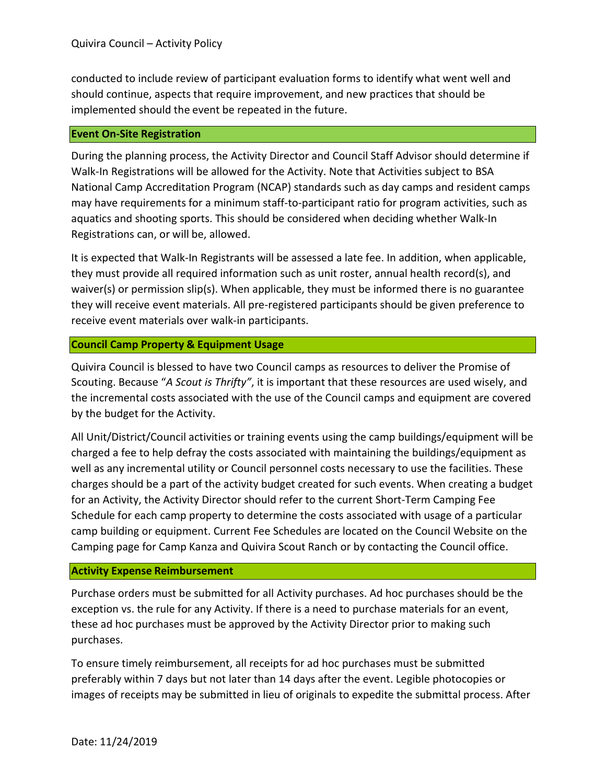conducted to include review of participant evaluation forms to identify what went well and should continue, aspects that require improvement, and new practices that should be implemented should the event be repeated in the future.

## **Event On-Site Registration**

During the planning process, the Activity Director and Council Staff Advisor should determine if Walk-In Registrations will be allowed for the Activity. Note that Activities subject to BSA National Camp Accreditation Program (NCAP) standards such as day camps and resident camps may have requirements for a minimum staff-to-participant ratio for program activities, such as aquatics and shooting sports. This should be considered when deciding whether Walk-In Registrations can, or will be, allowed.

It is expected that Walk-In Registrants will be assessed a late fee. In addition, when applicable, they must provide all required information such as unit roster, annual health record(s), and waiver(s) or permission slip(s). When applicable, they must be informed there is no guarantee they will receive event materials. All pre-registered participants should be given preference to receive event materials over walk-in participants.

## **Council Camp Property & Equipment Usage**

Quivira Council is blessed to have two Council camps as resources to deliver the Promise of Scouting. Because "*A Scout is Thrifty"*, it is important that these resources are used wisely, and the incremental costs associated with the use of the Council camps and equipment are covered by the budget for the Activity.

All Unit/District/Council activities or training events using the camp buildings/equipment will be charged a fee to help defray the costs associated with maintaining the buildings/equipment as well as any incremental utility or Council personnel costs necessary to use the facilities. These charges should be a part of the activity budget created for such events. When creating a budget for an Activity, the Activity Director should refer to the current Short-Term Camping Fee Schedule for each camp property to determine the costs associated with usage of a particular camp building or equipment. Current Fee Schedules are located on the Council Website on the Camping page for Camp Kanza and [Quivira](https://311whx2ma3db342y603efdm0-wpengine.netdna-ssl.com/wp-content/uploads/sites/25/2018/09/QSR-Year-Round-Fee-Schedule.pdf) Scout Ranch or by contacting the Council office.

#### **Activity Expense Reimbursement**

Purchase orders must be submitted for all Activity purchases. Ad hoc purchases should be the exception vs. the rule for any Activity. If there is a need to purchase materials for an event, these ad hoc purchases must be approved by the Activity Director prior to making such purchases.

To ensure timely reimbursement, all receipts for ad hoc purchases must be submitted preferably within 7 days but not later than 14 days after the event. Legible photocopies or images of receipts may be submitted in lieu of originals to expedite the submittal process. After